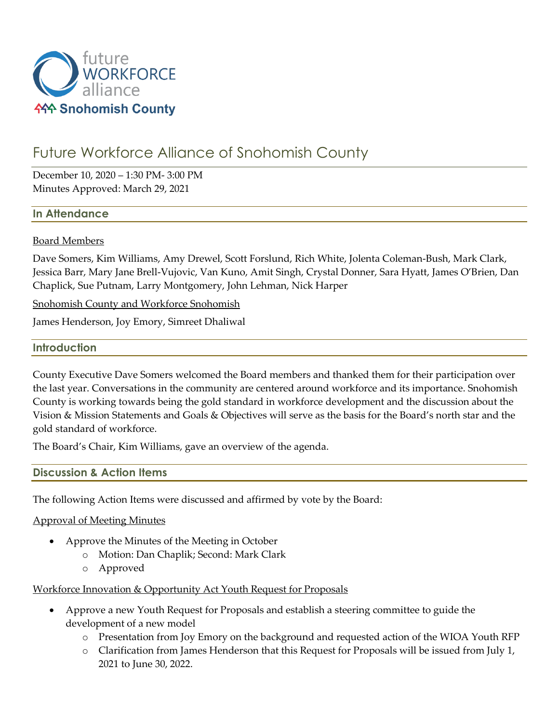

# Future Workforce Alliance of Snohomish County

December 10, 2020 – 1:30 PM- 3:00 PM Minutes Approved: March 29, 2021

## **In Attendance**

#### Board Members

Dave Somers, Kim Williams, Amy Drewel, Scott Forslund, Rich White, Jolenta Coleman-Bush, Mark Clark, Jessica Barr, Mary Jane Brell-Vujovic, Van Kuno, Amit Singh, Crystal Donner, Sara Hyatt, James O'Brien, Dan Chaplick, Sue Putnam, Larry Montgomery, John Lehman, Nick Harper

Snohomish County and Workforce Snohomish

James Henderson, Joy Emory, Simreet Dhaliwal

#### **Introduction**

County Executive Dave Somers welcomed the Board members and thanked them for their participation over the last year. Conversations in the community are centered around workforce and its importance. Snohomish County is working towards being the gold standard in workforce development and the discussion about the Vision & Mission Statements and Goals & Objectives will serve as the basis for the Board's north star and the gold standard of workforce.

The Board's Chair, Kim Williams, gave an overview of the agenda.

#### **Discussion & Action Items**

The following Action Items were discussed and affirmed by vote by the Board:

#### Approval of Meeting Minutes

- Approve the Minutes of the Meeting in October
	- o Motion: Dan Chaplik; Second: Mark Clark
	- o Approved

Workforce Innovation & Opportunity Act Youth Request for Proposals

- Approve a new Youth Request for Proposals and establish a steering committee to guide the development of a new model
	- o Presentation from Joy Emory on the background and requested action of the WIOA Youth RFP
	- o Clarification from James Henderson that this Request for Proposals will be issued from July 1, 2021 to June 30, 2022.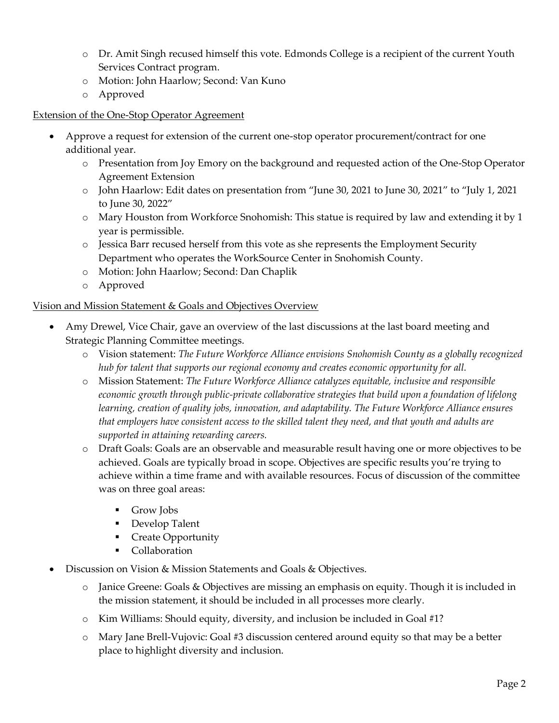- o Dr. Amit Singh recused himself this vote. Edmonds College is a recipient of the current Youth Services Contract program.
- o Motion: John Haarlow; Second: Van Kuno
- o Approved

# Extension of the One-Stop Operator Agreement

- Approve a request for extension of the current one-stop operator procurement/contract for one additional year.
	- o Presentation from Joy Emory on the background and requested action of the One-Stop Operator Agreement Extension
	- o John Haarlow: Edit dates on presentation from "June 30, 2021 to June 30, 2021" to "July 1, 2021 to June 30, 2022"
	- o Mary Houston from Workforce Snohomish: This statue is required by law and extending it by 1 year is permissible.
	- o Jessica Barr recused herself from this vote as she represents the Employment Security Department who operates the WorkSource Center in Snohomish County.
	- o Motion: John Haarlow; Second: Dan Chaplik
	- o Approved

## Vision and Mission Statement & Goals and Objectives Overview

- Amy Drewel, Vice Chair, gave an overview of the last discussions at the last board meeting and Strategic Planning Committee meetings.
	- o Vision statement: *The Future Workforce Alliance envisions Snohomish County as a globally recognized hub for talent that supports our regional economy and creates economic opportunity for all.*
	- o Mission Statement: *The Future Workforce Alliance catalyzes equitable, inclusive and responsible economic growth through public-private collaborative strategies that build upon a foundation of lifelong learning, creation of quality jobs, innovation, and adaptability. The Future Workforce Alliance ensures that employers have consistent access to the skilled talent they need, and that youth and adults are supported in attaining rewarding careers.*
	- o Draft Goals: Goals are an observable and measurable result having one or more objectives to be achieved. Goals are typically broad in scope. Objectives are specific results you're trying to achieve within a time frame and with available resources. Focus of discussion of the committee was on three goal areas:
		- Grow Jobs
		- Develop Talent
		- Create Opportunity
		- Collaboration
- Discussion on Vision & Mission Statements and Goals & Objectives.
	- o Janice Greene: Goals & Objectives are missing an emphasis on equity. Though it is included in the mission statement, it should be included in all processes more clearly.
	- $\circ$  Kim Williams: Should equity, diversity, and inclusion be included in Goal #1?
	- o Mary Jane Brell-Vujovic: Goal #3 discussion centered around equity so that may be a better place to highlight diversity and inclusion.